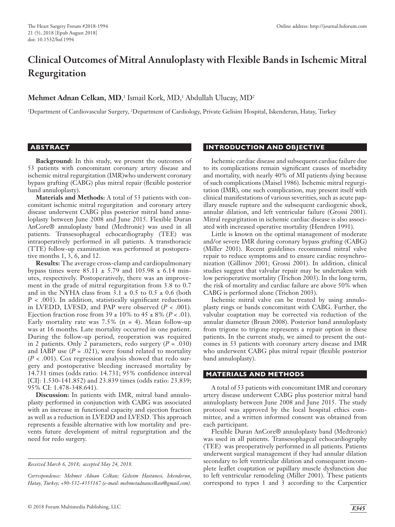# Clinical Outcomes of Mitral Annuloplasty with Flexible Bands in Ischemic Mitral Regurgitation

## **Mehmet Adnan Celkan, MD,**<sup>1</sup> Ismail Kork, MD,<sup>1</sup> Abdullah Ulucay, MD<sup>2</sup>

<sup>1</sup>Department of Cardiovascular Surgery, <sup>2</sup>Department of Cardiology, Private Gelisim Hospital, Iskenderun, Hatay, Turkey

#### **ABSTRACT**

**Background:** In this study, we present the outcomes of 53 patients with concomitant coronary artery disease and ischemic mitral regurgitation (IMR)who underwent coronary bypass grafting (CABG) plus mitral repair (flexible posterior band annuloplasty).

**Materials and Methods:** A total of 53 patients with concomitant ischemic mitral regurgitation and coronary artery disease underwent CABG plus posterior mitral band annuloplasty between June 2008 and June 2015. Flexible Duran AnCore® annuloplasty band (Medtronic) was used in all patients. Transesophageal echocardiography (TEE) was intraoperatively performed in all patients. A transthoracic (TTE) follow-up examination was performed at postoperative months 1, 3, 6, and 12.

**Results:** The average cross-clamp and cardiopulmonary bypass times were  $85.11 \pm 5.79$  and  $105.98 \pm 6.14$  minutes, respectively. Postoperatively, there was an improvement in the grade of mitral regurgitation from 3.8 to 0.7 and in the NYHA class from  $3.1 \pm 0.5$  to  $0.5 \pm 0.6$  (both  $P < .001$ ). In addition, statistically significant reductions in LVEDD, LVESD, and PAP were observed  $(P < .001)$ . Ejection fraction rose from  $39 \pm 10\%$  to  $45 \pm 8\%$  (*P* < .01). Early mortality rate was  $7.5\%$  (n = 4). Mean follow-up was at 16 months. Late mortality occurred in one patient. During the follow-up period, reoperation was required in 2 patients. Only 2 parameters, redo surgery  $(P = .030)$ and IABP use  $(P = .021)$ , were found related to mortality (*P* < .001). Cox regression analysis showed that redo surgery and postoperative bleeding increased mortality by 14.731 times (odds ratio: 14.731; 95% confidence interval [CI]: 1.530-141.852) and 23.839 times (odds ratio: 23.839; 95% CI: 1.478-348.641).

**Discussion:** In patients with IMR, mitral band annuloplasty performed in conjunction with CABG was associated with an increase in functional capacity and ejection fraction as well as a reduction in LVEDD and LVESD. This approach represents a feasible alternative with low mortality and prevents future development of mitral regurgitation and the need for redo surgery.

*Correspondence: Mehmet Adnan Celkan; Gelisim Hastanesi, Iskenderun, Hatay, Turkey; +90-532-4355167 (e-mail: mehmetadnancelkan@gmail.com).*

#### **INTRODUCTION AND OBJECTIVE**

Ischemic cardiac disease and subsequent cardiac failure due to its complications remain significant causes of morbidity and mortality, with nearly 40% of MI patients dying because of such complications (Maisel 1986). Ischemic mitral regurgitation (IMR), one such complication, may present itself with clinical manifestations of various severities, such as acute papillary muscle rupture and the subsequent cardiogenic shock, annular dilation, and left ventricular failure (Grossi 2001). Mitral regurgitation in ischemic cardiac disease is also associated with increased operative mortality (Hendren 1991).

Little is known on the optimal management of moderate and/or severe IMR during coronary bypass grafting (CABG) (Miller 2001). Recent guidelines recommend mitral valve repair to reduce symptoms and to ensure cardiac resynchronization (Gillinov 2001; Grossi 2001). In addition, clinical studies suggest that valvular repair may be undertaken with low perioperative mortality (Trichon 2003). In the long term, the risk of mortality and cardiac failure are above 50% when CABG is performed alone (Trichon 2003).

Ischemic mitral valve can be treated by using annuloplasty rings or bands concomitant with CABG. Further, the valvular coaptation may be corrected via reduction of the annular diameter (Braun 2008). Posterior band annuloplasty from trigone to trigone represents a repair option in these patients. In the current study, we aimed to present the outcomes in 53 patients with coronary artery disease and IMR who underwent CABG plus mitral repair (flexible posterior band annuloplasty).

#### **MATERIALS AND METHODS**

A total of 53 patients with concomitant IMR and coronary artery disease underwent CABG plus posterior mitral band annuloplasty between June 2008 and June 2015. The study protocol was approved by the local hospital ethics committee, and a written informed consent was obtained from each participant.

Flexible Duran AnCore® annuloplasty band (Medtronic) was used in all patients. Transesophageal echocardiography (TEE) was preoperatively performed in all patients. Patients underwent surgical management if they had annular dilation secondary to left ventricular dilation and consequent incomplete leaflet coaptation or papillary muscle dysfunction due to left ventricular remodeling (Miller 2001). These patients correspond to types 1 and 3 according to the Carpentier

*Received March 6, 2018; accepted May 24, 2018.*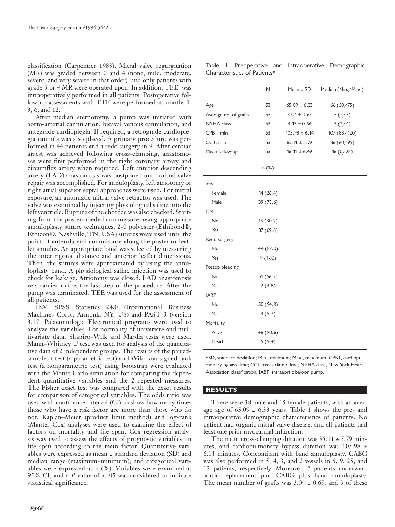classification (Carpentier 1983). Mitral valve regurgitation (MR) was graded between 0 and 4 (none, mild, moderate, severe, and very severe in that order), and only patients with grade 3 or 4 MR were operated upon. In addition, TEE was intraoperatively performed in all patients. Postoperative follow-up assessments with TTE were performed at months 1, 3, 6, and 12.

After median sternotomy, a pump was initiated with aorto-arterial cannulation, bicaval venous cannulation, and antegrade cardioplegia. If required, a retrograde cardioplegia cannula was also placed. A primary procedure was performed in 44 patients and a redo surgery in 9. After cardiac arrest was achieved following cross-clamping, anastomoses were first performed in the right coronary artery and circumflex artery when required. Left anterior descending artery (LAD) anastomosis was postponed until mitral valve repair was accomplished. For annuloplasty, left atriotomy or right atrial superior septal approaches were used. For mitral exposure, an automatic mitral valve retractor was used. The valve was examined by injecting physiological saline into the left ventricle. Rupture of the chordae was also checked. Starting from the posteromedial commissure, using appropriate annuloplasty suture techniques, 2-0 polyester (Ethibond®, Ethicon®, Nashville, TN, USA) sutures were used until the point of anterolateral commissure along the posterior leaflet annulus. An appropriate band was selected by measuring the intertrigonal distance and anterior leaflet dimensions. Then, the sutures were approximated by using the annuloplasty band. A physiological saline injection was used to check for leakage. Atriotomy was closed. LAD anastomosis was carried out as the last step of the procedure. After the pump was terminated, TEE was used for the assessment of all patients.

IBM SPSS Statistics 24.0 (International Business Machines Corp., Armonk, NY, US) and PAST 3 (version 3.17; Palaeontologia Electronica) programs were used to analyze the variables. For normality of univariate and multivariate data, Shapiro–Wilk and Mardia tests were used. Mann–Whitney U test was used for analysis of the quantitative data of 2 independent groups. The results of the pairedsamples t test (a parametric test) and Wilcoxon signed rank test (a nonparametric test) using bootstrap were evaluated with the Monte Carlo simulation for comparing the dependent quantitative variables and the 2 repeated measures. The Fisher exact test was compared with the exact results for comparison of categorical variables. The odds ratio was used with confidence interval (CI) to show how many times those who have a risk factor are more than those who do not. Kaplan–Meier (product limit method) and log-rank (Mantel–Cox) analyses were used to examine the effect of factors on mortality and life span. Cox regression analysis was used to assess the effects of prognostic variables on life span according to the main factor. Quantitative variables were expressed as mean ± standard deviation (SD) and median range (maximum−minimum), and categorical variables were expressed as n (%). Variables were examined at 95% CI, and a *P* value of < .05 was considered to indicate statistical significance.

Table 1. Preoperative and Intraoperative Demographic Characteristics of Patients\*

|                       | N         | Mean $\pm$ SD     | Median (Min./Max.) |
|-----------------------|-----------|-------------------|--------------------|
| Age                   | 53        | $65.09 \pm 6.33$  | 66 (50/75)         |
| Average no. of grafts | 53        | $3.04 \pm 0.65$   | 3(2/5)             |
| NYHA class            | 53        | $3.13 \pm 0.56$   | 3(2/4)             |
| CPBT, min             | 53        | $105.98 \pm 6.14$ | 107 (88/120)       |
| CCT, min              | 53        | $85.11 \pm 5.79$  | 86 (60/95)         |
| Mean follow-up        | 53        | $16.11 \pm 6.49$  | 16(0/28)           |
|                       | n (%)     |                   |                    |
| Sex                   |           |                   |                    |
| Female                | 14(26.4)  |                   |                    |
| Male                  | 39 (73.6) |                   |                    |
| DM                    |           |                   |                    |
| No                    | 16(30.2)  |                   |                    |
| Yes                   | 37 (69.8) |                   |                    |
| Redo surgery          |           |                   |                    |
| No                    | 44 (83.0) |                   |                    |
| Yes                   | 9(17.0)   |                   |                    |
| Postop bleeding       |           |                   |                    |
| No                    | 51(96.2)  |                   |                    |
| Yes                   | 2(3.8)    |                   |                    |
| <b>IABP</b>           |           |                   |                    |
| No                    | 50 (94.3) |                   |                    |
| Yes                   | 3(5.7)    |                   |                    |
| Mortality             |           |                   |                    |
| Alive                 | 48 (90.6) |                   |                    |
| Dead                  | 5(9.4)    |                   |                    |

\*SD, standard deviation; Min., minimum; Max., maximum; CPBT, cardiopulmonary bypass time; CCT, cross-clamp time; NYHA class, New York Heart Association classification; IABP: intraaortic baloon pump.

### **RESULTS**

There were 38 male and 15 female patients, with an average age of  $65.09 \pm 6.33$  years. Table 1 shows the pre- and intraoperative demographic characteristics of patients. No patient had organic mitral valve disease, and all patients had least one prior myocardial infarction.

The mean cross-clamping duration was  $85.11 \pm 5.79$  minutes, and cardiopulmonary bypass duration was 105.98 ± 6.14 minutes. Concomitant with band annuloplasty, CABG was also performed in 5, 4, 3, and 2 vessels in 5, 9, 25, and 12 patients, respectively. Moreover, 2 patients underwent aortic replacement plus CABG plus band annuloplasty. The mean number of grafts was  $3.04 \pm 0.65$ , and 9 of these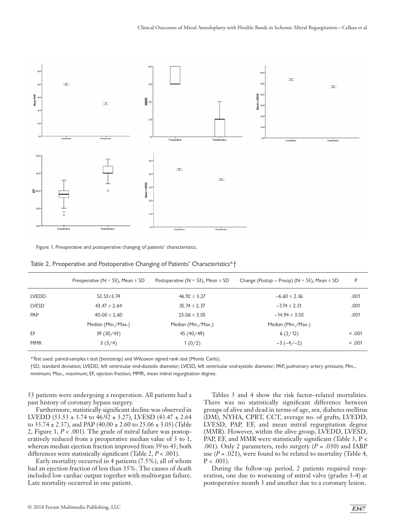

Figure 1. Preoperative and postoperative changing of patients' characteristics.

|              | Preoperative ( $N = 53$ ), Mean $\pm$ SD | Postoperative ( $N = 53$ ), Mean $\pm$ SD | Change (Postop – Preop) ( $N = 53$ ), Mean $\pm$ SD | P       |
|--------------|------------------------------------------|-------------------------------------------|-----------------------------------------------------|---------|
| <b>LVEDD</b> | $53.53 \pm 3.74$                         | $46.92 \pm 3.27$                          | $-6.60 \pm 2.36$                                    | .001    |
| <b>LVESD</b> | $43.47 \pm 2.64$                         | $35.74 \pm 2.37$                          | $-7.74 \pm 2.51$                                    | .001    |
| PAP          | $40.00 \pm 2.60$                         | $25.06 \pm 3.05$                          | $-14.94 \pm 3.03$                                   | .001    |
|              | Median (Min./Max.)                       | Median (Min./Max.)                        | Median (Min./Max.)                                  |         |
| EF           | 39(30/43)                                | 45 (40/49)                                | 6(2/12)                                             | < 0.001 |
| <b>MMR</b>   | 3(3/4)                                   | 1(0/2)                                    | $-3(-4/-2)$                                         | < 0.001 |

Table 2. Preoperative and Postoperative Changing of Patients' Characteristics\*†

\*Test used: paired-samples t test (bootstrap) and Wilcoxon signed rank test (Monte Carlo).

†SD, standard deviation; LVEDD, left ventricular end-diastolic diameter; LVESD, left ventricular end-systolic diameter; PAP, pulmonary artery pressure; Min., minimum; Max., maximum; EF, ejection fraction; MMR, mean mitral regurgitation degree.

53 patients were undergoing a reoperation. All patients had a past history of coronary bypass surgery.

Furthermore, statistically significant decline was observed in LVEDD (53.53 ± 3.74 to 46.92 ± 3.27), LVESD (43.47 ± 2.64 to  $35.74 \pm 2.37$ ), and PAP (40.00  $\pm 2.60$  to  $25.06 \pm 3.05$ ) (Table 2, Figure 1, *P* < .001). The grade of mitral failure was postoperatively reduced from a preoperative median value of 3 to 1, whereas median ejection fraction improved from 39 to 45; both differences were statistically significant (Table 2, *P* < .001).

Early mortality occurred in 4 patients (7.5%), all of whom had an ejection fraction of less than 35%. The causes of death included low cardiac output together with multiorgan failure. Late mortality occurred in one patient.

Tables 3 and 4 show the risk factor–related mortalities. There was no statistically significant difference between groups of alive and dead in terms of age, sex, diabetes mellitus (DM), NYHA, CPBT, CCT, average no. of grafts, LVEDD, LVESD, PAP, EF, and mean mitral regurgitation degree (MMR). However, within the alive group, LVEDD, LVESD, PAP, EF, and MMR were statistically significant (Table 3, P < .001). Only 2 parameters, redo surgery (*P* = .030) and IABP use  $(P = .021)$ , were found to be related to mortality (Table 4,  $P < .001$ ).

During the follow-up period, 2 patients required reoperation, one due to worsening of mitral valve (grades 3-4) at postoperative month 3 and another due to a coronary lesion.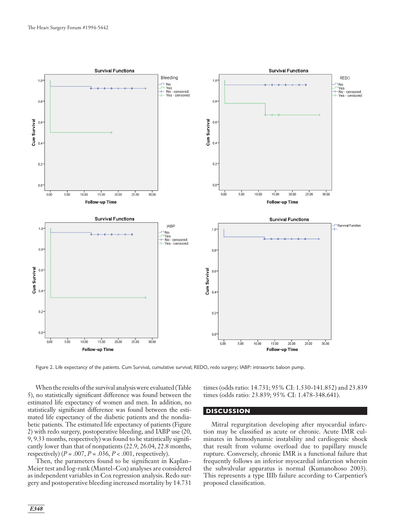

Figure 2. Life expectancy of the patients. Cum Survival, cumulative survival; REDO, redo surgery; IABP: intraaortic baloon pump.

When the results of the survival analysis were evaluated (Table 5), no statistically significant difference was found between the estimated life expectancy of women and men. In addition, no statistically significant difference was found between the estimated life expectancy of the diabetic patients and the nondiabetic patients. The estimated life expectancy of patients (Figure 2) with redo surgery, postoperative bleeding, and IABP use (20, 9, 9.33 months, respectively) was found to be statistically significantly lower than that of nonpatients (22.9, 26.04, 22.8 months, respectively) ( $P = .007, P = .036, P < .001$ , respectively).

Then, the parameters found to be significant in Kaplan– Meier test and log-rank (Mantel–Cox) analyses are considered as independent variables in Cox regression analysis. Redo surgery and postoperative bleeding increased mortality by 14.731 times (odds ratio: 14.731; 95% CI: 1.530-141.852) and 23.839 times (odds ratio: 23.839; 95% CI: 1.478-348.641).

#### **DISCUSSION**

Mitral regurgitation developing after myocardial infarction may be classified as acute or chronic. Acute IMR culminates in hemodynamic instability and cardiogenic shock that result from volume overload due to papillary muscle rupture. Conversely, chronic IMR is a functional failure that frequently follows an inferior myocardial infarction wherein the subvalvular apparatus is normal (Kumanohoso 2003). This represents a type IIIb failure according to Carpentier's proposed classification.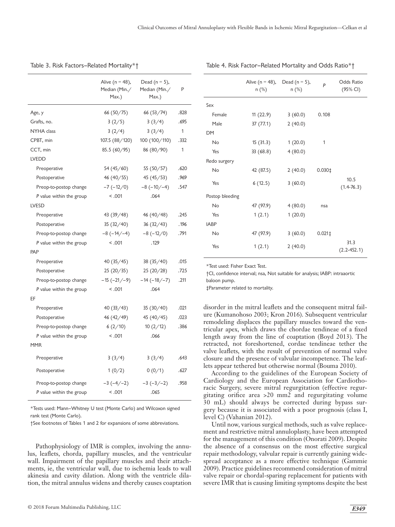|                          | Alive ( $n = 48$ ),<br>Median (Min./<br>Max.) | Dead ( $n = 5$ ),<br>Median (Min./<br>Max.) | P            |
|--------------------------|-----------------------------------------------|---------------------------------------------|--------------|
| Age, y                   | 66(50/75)                                     | 66(53/74)                                   | .828         |
| Grafts, no.              | 3(2/5)                                        | 3(3/4)                                      | .695         |
| NYHA class               | 3(2/4)                                        | 3(3/4)                                      | $\mathbf{1}$ |
| CPBT, min                | 107.5 (88/120)                                | 100 (100/110)                               | .332         |
| CCT, min                 | 85.5(60/95)                                   | 86 (80/90)                                  | $\mathbf{1}$ |
| <b>LVEDD</b>             |                                               |                                             |              |
| Preoperative             | 54 (45/60)                                    | 55 (50/57)                                  | .620         |
| Postoperative            | 46 $(40/55)$                                  | 45(45/53)                                   | .969         |
| Preop-to-postop change   | $-7$ ( $-12/0$ )                              | $-8$ ( $-10/-4$ )                           | .547         |
| P value within the group | < .001                                        | .064                                        |              |
| LVESD                    |                                               |                                             |              |
| Preoperative             | 43 (39/48)                                    | 46 (40/48)                                  | .245         |
| Postoperative            | 35(32/40)                                     | 36(32/43)                                   | .196         |
| Preop-to-postop change   | $-8(-14/-4)$                                  | $-8(-12/0)$                                 | .791         |
| P value within the group | < .001                                        | .129                                        |              |
| PAP                      |                                               |                                             |              |
| Preoperative             | 40(35/45)                                     | 38(35/40)                                   | .015         |
| Postoperative            | 25 (20/35)                                    | 25(20/28)                                   | .725         |
| Preop-to-postop change   | $-15$ ( $-21/ -9$ )                           | $-14(-18/-7)$                               | .211         |
| P value within the group | < .001                                        | .064                                        |              |
| EF                       |                                               |                                             |              |
| Preoperative             | 40(33/43)                                     | 35(30/40)                                   | .021         |
| Postoperative            | 46 (42/49)                                    | 45 (40/45)                                  | .023         |
| Preop-to-postop change   | 6(2/10)                                       | 10(2/12)                                    | .386         |
| P value within the group | < .001                                        | .066                                        |              |
| <b>MMR</b>               |                                               |                                             |              |
| Preoperative             | 3(3/4)                                        | 3(3/4)                                      | .643         |
| Postoperative            | 1(0/2)                                        | 0(0/1)                                      | .627         |
| Preop-to-postop change   | $-3(-4/-2)$                                   | $-3(-3/-2)$                                 | .958         |
| P value within the group | < .001                                        | .065                                        |              |

Table 3. Risk Factors–Related Mortality\*†

\*Tests used: Mann–Whitney U test (Monte Carlo) and Wilcoxon signed rank test (Monte Carlo).

†See footnotes of Tables 1 and 2 for expansions of some abbreviations.

Pathophysiology of IMR is complex, involving the annulus, leaflets, chorda, papillary muscles, and the ventricular wall. Impairment of the papillary muscles and their attachments, ie, the ventricular wall, due to ischemia leads to wall akinesia and cavity dilation. Along with the ventricle dilation, the mitral annulus widens and thereby causes coaptation

|                 | Alive (n = 48), Dead (n = 5),<br>n (%) | $n$ (%) | <b>Odds Ratio</b><br>P<br>(95% CI) |                         |
|-----------------|----------------------------------------|---------|------------------------------------|-------------------------|
| Sex             |                                        |         |                                    |                         |
| Female          | 11(22.9)                               | 3(60.0) | 0.108                              |                         |
| Male            | 37(77.1)                               | 2(40.0) |                                    |                         |
| <b>DM</b>       |                                        |         |                                    |                         |
| No              | 15(31.3)                               | 1(20.0) | 1                                  |                         |
| Yes             | 33 (68.8)                              | 4(80.0) |                                    |                         |
| Redo surgery    |                                        |         |                                    |                         |
| No              | 42 (87.5)                              | 2(40.0) | 0.0301                             |                         |
| Yes             | 6(12.5)                                | 3(60.0) |                                    | 10.5<br>$(1.4 - 76.3)$  |
| Postop bleeding |                                        |         |                                    |                         |
| No              | 47 (97.9)                              | 4(80.0) | nsa                                |                         |
| Yes             | 1(2.1)                                 | 1(20.0) |                                    |                         |
| <b>IABP</b>     |                                        |         |                                    |                         |
| No              | 47 (97.9)                              | 3(60.0) | $0.021 \pm$                        |                         |
| Yes             | 1(2.1)                                 | 2(40.0) |                                    | 31.3<br>$(2.2 - 452.1)$ |

Table 4. Risk Factor–Related Mortality and Odds Ratio\*†

\*Test used: Fisher Exact Test.

†CI, confidence interval; nsa, Not suitable for analysis; IABP: intraaortic baloon pump.

‡Parameter related to mortality.

disorder in the mitral leaflets and the consequent mitral failure (Kumanohoso 2003; Kron 2016). Subsequent ventricular remodeling displaces the papillary muscles toward the ventricular apex, which draws the chordae tendineae of a fixed length away from the line of coaptation (Boyd 2013). The retracted, not foreshortened, cordae tendineae tether the valve leaflets, with the result of prevention of normal valve closure and the presence of valvular incompetence. The leaflets appear tethered but otherwise normal (Bouma 2010).

According to the guidelines of the European Society of Cardiology and the European Association for Cardiothoracic Surgery, severe mitral regurgitation (effective regurgitating orifice area >20 mm2 and regurgitating volume 30 mL) should always be corrected during bypass surgery because it is associated with a poor prognosis (class I, level C) (Vahanian 2012).

Until now, various surgical methods, such as valve replacement and restrictive mitral annuloplasty, have been attempted for the management of this condition (Onorati 2009). Despite the absence of a consensus on the most effective surgical repair methodology, valvular repair is currently gaining widespread acceptance as a more effective technique (Gammie 2009). Practice guidelines recommend consideration of mitral valve repair or chordal-sparing replacement for patients with severe IMR that is causing limiting symptoms despite the best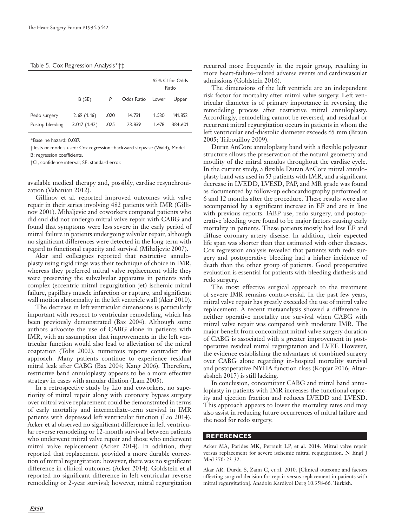#### Table 5. Cox Regression Analysis\*†‡

|                 |             |      |                  | 95% CI for Odds<br>Ratio |         |
|-----------------|-------------|------|------------------|--------------------------|---------|
|                 | B(SE)       | P    | Odds Ratio Lower |                          | Upper   |
| Redo surgery    | 2.69(1.16)  | .020 | 14.731           | 1.530                    | 141.852 |
| Postop bleeding | 3.017(1.42) | .025 | 23.839           | 1.478                    | 384.601 |

\*Baseline hazard: 0.037.

†Tests or models used: Cox regression—backward stepwise (Wald), Model B: regression coefficients.

‡CI, confidence interval; SE: standard error.

available medical therapy and, possibly, cardiac resynchronization (Vahanian 2012).

Gillinov et al. reported improved outcomes with valve repair in their series involving 482 patients with IMR (Gillinov 2001). Mihaljevic and coworkers compared patients who did and did not undergo mitral valve repair with CABG and found that symptoms were less severe in the early period of mitral failure in patients undergoing valvular repair, although no significant differences were detected in the long term with regard to functional capacity and survival (Mihaljevic 2007).

Akar and colleagues reported that restrictive annuloplasty using rigid rings was their technique of choice in IMR, whereas they preferred mitral valve replacement while they were preserving the subvalvular apparatus in patients with complex (eccentric mitral regurgitation jet) ischemic mitral failure, papillary muscle infarction or rupture, and significant wall motion abnormality in the left ventricle wall (Akar 2010).

The decrease in left ventricular dimensions is particularly important with respect to ventricular remodeling, which has been previously demonstrated (Bax 2004). Although some authors advocate the use of CABG alone in patients with IMR, with an assumption that improvements in the left ventricular function would also lead to alleviation of the mitral coaptation (Tolis 2002), numerous reports contradict this approach. Many patients continue to experience residual mitral leak after CABG (Bax 2004; Kang 2006). Therefore, restrictive band annuloplasty appears to be a more effective strategy in cases with annular dilation (Lam 2005).

In a retrospective study by Lio and coworkers, no superiority of mitral repair along with coronary bypass surgery over mitral valve replacement could be demonstrated in terms of early mortality and intermediate-term survival in IMR patients with depressed left ventricular function (Lio 2014). Acker et al observed no significant difference in left ventricular reverse remodeling or 12-month survival between patients who underwent mitral valve repair and those who underwent mitral valve replacement (Acker 2014). In addition, they reported that replacement provided a more durable correction of mitral regurgitation; however, there was no significant difference in clinical outcomes (Acker 2014). Goldstein et al reported no significant difference in left ventricular reverse remodeling or 2-year survival; however, mitral regurgitation

recurred more frequently in the repair group, resulting in more heart-failure–related adverse events and cardiovascular admissions (Goldstein 2016).

The dimensions of the left ventricle are an independent risk factor for mortality after mitral valve surgery. Left ventricular diameter is of primary importance in reversing the remodeling process after restrictive mitral annuloplasty. Accordingly, remodeling cannot be reversed, and residual or recurrent mitral regurgitation occurs in patients in whom the left ventricular end-diastolic diameter exceeds 65 mm (Braun 2005; Tribouilloy 2009).

Duran AnCore annuloplasty band with a flexible polyester structure allows the preservation of the natural geometry and motility of the mitral annulus throughout the cardiac cycle. In the current study, a flexible Duran AnCore mitral annuloplasty band was used in 53 patients with IMR, and a significant decrease in LVEDD, LVESD, PAP, and MR grade was found as documented by follow-up echocardiography performed at 6 and 12 months after the procedure. These results were also accompanied by a significant increase in EF and are in line with previous reports. IABP use, redo surgery, and postoperative bleeding were found to be major factors causing early mortality in patients. These patients mostly had low EF and diffuse coronary artery disease. In addition, their expected life span was shorter than that estimated with other diseases. Cox regression analysis revealed that patients with redo surgery and postoperative bleeding had a higher incidence of death than the other group of patients. Good preoperative evaluation is essential for patients with bleeding diathesis and redo surgery.

The most effective surgical approach to the treatment of severe IMR remains controversial. In the past few years, mitral valve repair has greatly exceeded the use of mitral valve replacement. A recent metaanalysis showed a difference in neither operative mortality nor survival when CABG with mitral valve repair was compared with moderate IMR. The major benefit from concomitant mitral valve surgery duration of CABG is associated with a greater improvement in postoperative residual mitral regurgitation and LVEF. However, the evidence establishing the advantage of combined surgery over CABG alone regarding in-hospital mortality survival and postoperative NYHA function class (Kopjar 2016; Altarabsheh 2017) is still lacking.

In conclusion, concomitant CABG and mitral band annuloplasty in patients with IMR increases the functional capacity and ejection fraction and reduces LVEDD and LVESD. This approach appears to lower the mortality rates and may also assist in reducing future occurrences of mitral failure and the need for redo surgery.

#### **REFERENCES**

Acker MA, Parides MK, Perrault LP, et al. 2014. Mitral valve repair versus replacement for severe ischemic mitral regurgitation. N Engl J Med 370: 23-32.

Akar AR, Durdu S, Zaim C, et al. 2010. [Clinical outcome and factors affecting surgical decision for repair versus replacement in patients with mitral regurgitation]. Anadolu Kardiyol Derg 10:358-66. Turkish.